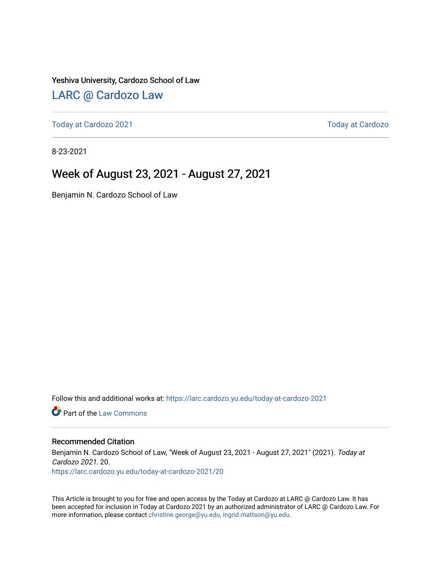Yeshiva University, Cardozo School of Law

#### [LARC @ Cardozo Law](https://larc.cardozo.yu.edu/)

[Today at Cardozo 2021](https://larc.cardozo.yu.edu/today-at-cardozo-2021) **Today at Cardozo** 2021

8-23-2021

#### Week of August 23, 2021 - August 27, 2021

Benjamin N. Cardozo School of Law

Follow this and additional works at: [https://larc.cardozo.yu.edu/today-at-cardozo-2021](https://larc.cardozo.yu.edu/today-at-cardozo-2021?utm_source=larc.cardozo.yu.edu%2Ftoday-at-cardozo-2021%2F20&utm_medium=PDF&utm_campaign=PDFCoverPages)

**C** Part of the [Law Commons](http://network.bepress.com/hgg/discipline/578?utm_source=larc.cardozo.yu.edu%2Ftoday-at-cardozo-2021%2F20&utm_medium=PDF&utm_campaign=PDFCoverPages)

#### Recommended Citation

Benjamin N. Cardozo School of Law, "Week of August 23, 2021 - August 27, 2021" (2021). Today at Cardozo 2021. 20. [https://larc.cardozo.yu.edu/today-at-cardozo-2021/20](https://larc.cardozo.yu.edu/today-at-cardozo-2021/20?utm_source=larc.cardozo.yu.edu%2Ftoday-at-cardozo-2021%2F20&utm_medium=PDF&utm_campaign=PDFCoverPages) 

This Article is brought to you for free and open access by the Today at Cardozo at LARC @ Cardozo Law. It has been accepted for inclusion in Today at Cardozo 2021 by an authorized administrator of LARC @ Cardozo Law. For more information, please contact [christine.george@yu.edu, ingrid.mattson@yu.edu](mailto:christine.george@yu.edu,%20ingrid.mattson@yu.edu).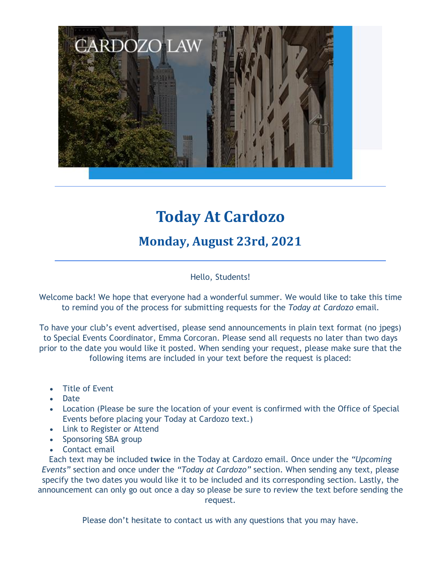

**Monday, August 23rd, 2021**

Hello, Students!

Welcome back! We hope that everyone had a wonderful summer. We would like to take this time to remind you of the process for submitting requests for the *Today at Cardozo* email.

To have your club's event advertised, please send announcements in plain text format (no jpegs) to Special Events Coordinator, Emma Corcoran. Please send all requests no later than two days prior to the date you would like it posted. When sending your request, please make sure that the following items are included in your text before the request is placed:

- Title of Event
- Date
- Location (Please be sure the location of your event is confirmed with the Office of Special Events before placing your Today at Cardozo text.)
- Link to Register or Attend
- Sponsoring SBA group
- Contact email

Each text may be included **twice** in the Today at Cardozo email. Once under the *"Upcoming Events"* section and once under the *"Today at Cardozo"* section. When sending any text, please specify the two dates you would like it to be included and its corresponding section. Lastly, the announcement can only go out once a day so please be sure to review the text before sending the request.

Please don't hesitate to contact us with any questions that you may have.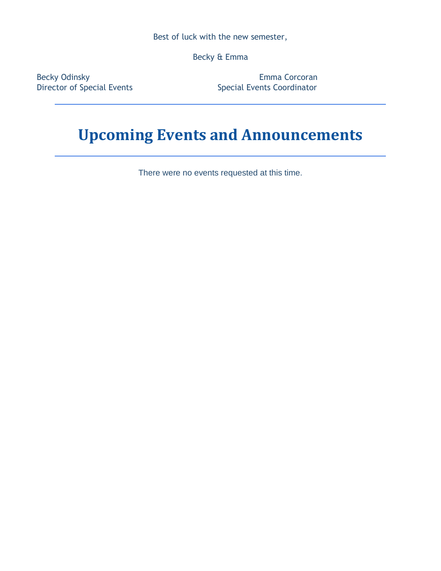Best of luck with the new semester,

Becky & Emma

Becky Odinsky **Emma** Corcoran Director of Special Events Special Events Coordinator

### **Upcoming Events and Announcements**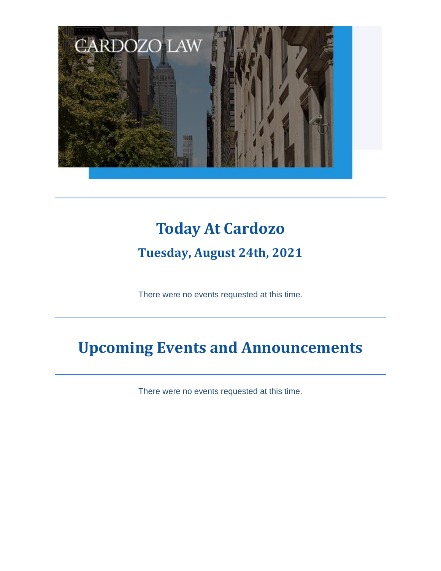

### **Tuesday, August 24th, 2021**

There were no events requested at this time.

# **Upcoming Events and Announcements**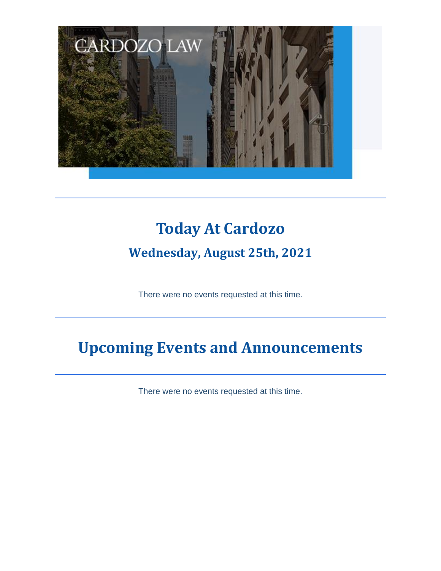

### **Wednesday, August 25th, 2021**

There were no events requested at this time.

# **Upcoming Events and Announcements**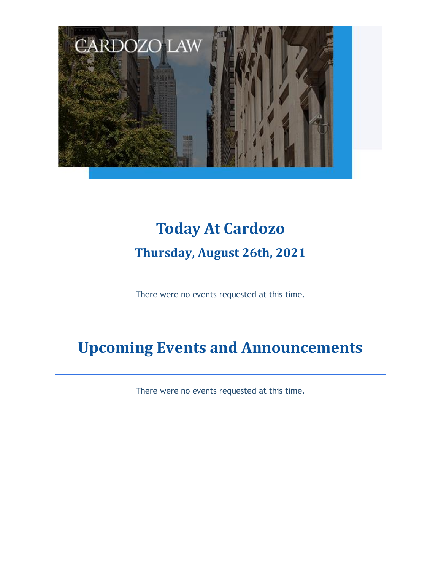

### **Thursday, August 26th, 2021**

There were no events requested at this time.

# **Upcoming Events and Announcements**